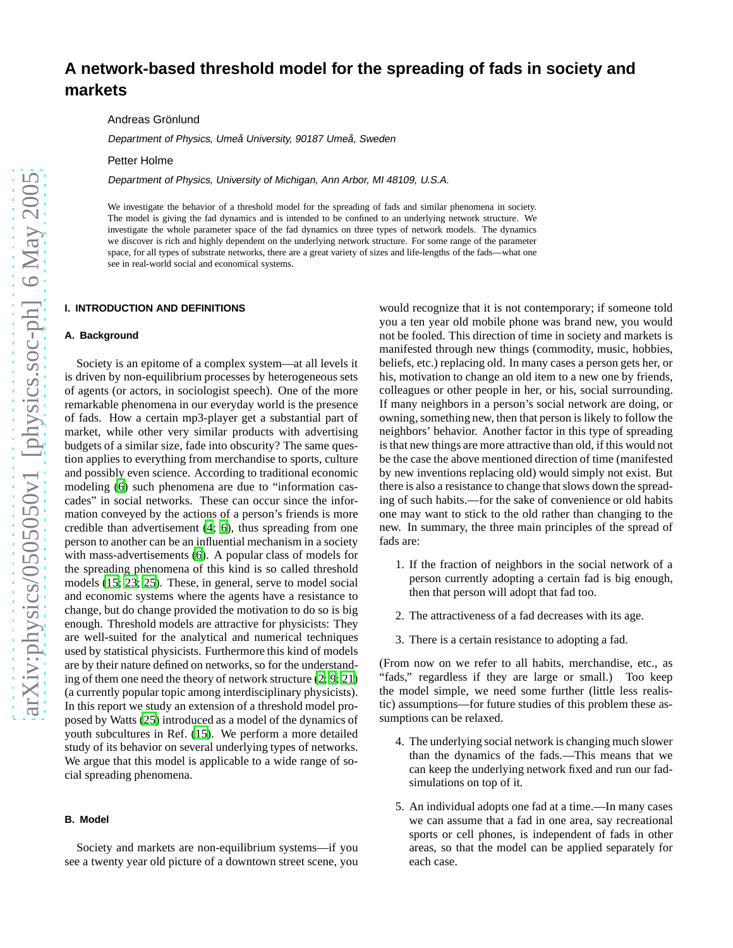# **A network-based threshold model for the spreading of fads in society and markets**

Andreas Grönlund

Department of Physics, Umeå University, <sup>90187</sup> Umeå, Sweden

Petter Holme

Department of Physics, University of Michigan, Ann Arbor, MI 48109, U.S.A.

We investigate the behavior of a threshold model for the spreading of fads and similar phenomena in society. The model is giving the fad dynamics and is intended to be confined to an underlying network structure. We investigate the whole parameter space of the fad dynamics on three types of network models. The dynamics we discover is rich and highly dependent on the underlying network structure. For some range of the parameter space, for all types of substrate networks, there are a great variety of sizes and life-lengths of the fads—what one see in real-world social and economical systems.

## **I. INTRODUCTION AND DEFINITIONS**

## **A. Background**

Society is an epitome of a complex system—at all levels it is driven by non-equilibrium processes by heterogeneous sets of agents (or actors, in sociologist speech). One of the more remarkable phenomena in our everyday world is the presence of fads. How a certain mp3-player get a substantial part of market, while other very similar products with advertising budgets of a similar size, fade into obscurity? The same question applies to everything from merchandise to sports, culture and possibly even science. According to traditional economic modeling [\(6\)](#page-6-0) such phenomena are due to "information cascades" in social networks. These can occur since the information conveyed by the actions of a person's friends is more credible than advertisement [\(4;](#page-6-1) [6\)](#page-6-0), thus spreading from one person to another can be an influential mechanism in a society with mass-advertisements [\(6\)](#page-6-0). A popular class of models for the spreading phenomena of this kind is so called threshold models [\(15;](#page-6-2) [23;](#page-7-0) [25](#page-7-1)). These, in general, serve to model social and economic systems where the agents have a resistance to change, but do change provided the motivation to do so is big enough. Threshold models are attractive for physicists: They are well-suited for the analytical and numerical techniques used by statistical physicists. Furthermore this kind of models are by their nature defined on networks, so for the understanding of them one need the theory of network structure [\(2;](#page-6-3) [9;](#page-6-4) [21\)](#page-6-5) (a currently popular topic among interdisciplinary physicists). In this report we study an extension of a threshold model proposed by Watts [\(25\)](#page-7-1) introduced as a model of the dynamics of youth subcultures in Ref. [\(15](#page-6-2)). We perform a more detailed study of its behavior on several underlying types of networks. We argue that this model is applicable to a wide range of social spreading phenomena.

# **B. Model**

Society and markets are non-equilibrium systems—if you see a twenty year old picture of a downtown street scene, you

would recognize that it is not contemporary; if someone told you a ten year old mobile phone was brand new, you would not be fooled. This direction of time in society and markets is manifested through new things (commodity, music, hobbies, beliefs, etc.) replacing old. In many cases a person gets her, or his, motivation to change an old item to a new one by friends, colleagues or other people in her, or his, social surrounding. If many neighbors in a person's social network are doing, or owning, something new, then that person is likely to follow the neighbors' behavior. Another factor in this type of spreading is that new things are more attractive than old, if this would not be the case the above mentioned direction of time (manifested by new inventions replacing old) would simply not exist. But there is also a resistance to change that slows down the spreading of such habits.—for the sake of convenience or old habits one may want to stick to the old rather than changing to the new. In summary, the three main principles of the spread of fads are:

- <span id="page-0-0"></span>1. If the fraction of neighbors in the social network of a person currently adopting a certain fad is big enough, then that person will adopt that fad too.
- <span id="page-0-1"></span>2. The attractiveness of a fad decreases with its age.
- 3. There is a certain resistance to adopting a fad.

(From now on we refer to all habits, merchandise, etc., as "fads," regardless if they are large or small.) Too keep the model simple, we need some further (little less realistic) assumptions—for future studies of this problem these assumptions can be relaxed.

- 4. The underlying social network is changing much slower than the dynamics of the fads.—This means that we can keep the underlying network fixed and run our fadsimulations on top of it.
- 5. An individual adopts one fad at a time.—In many cases we can assume that a fad in one area, say recreational sports or cell phones, is independent of fads in other areas, so that the model can be applied separately for each case.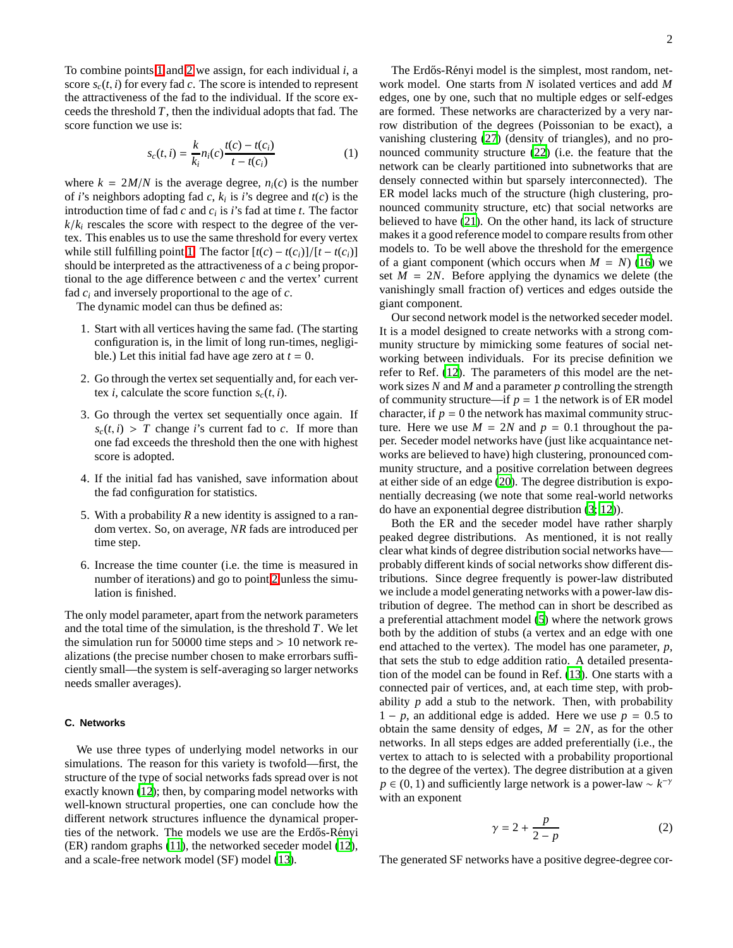To combine points [1](#page-0-0) and [2](#page-0-1) we assign, for each individual *i*, a score  $s_c(t, i)$  for every fad *c*. The score is intended to represent the attractiveness of the fad to the individual. If the score exceeds the threshold *T*, then the individual adopts that fad. The score function we use is:

$$
s_c(t, i) = \frac{k}{k_i} n_i(c) \frac{t(c) - t(c_i)}{t - t(c_i)}
$$
(1)

where  $k = 2M/N$  is the average degree,  $n_i(c)$  is the number of *i*'s neighbors adopting fad *c*,  $k_i$  is *i*'s degree and  $t(c)$  is the introduction time of fad  $c$  and  $c_i$  is  $i$ 's fad at time  $t$ . The factor  $k/k<sub>i</sub>$  rescales the score with respect to the degree of the vertex. This enables us to use the same threshold for every vertex while still fulfilling point [1.](#page-0-0) The factor  $[t(c) - t(c_i)]/[t - t(c_i)]$ should be interpreted as the attractiveness of a *c* being proportional to the age difference between *c* and the vertex' current fad *c<sup>i</sup>* and inversely proportional to the age of *c*.

The dynamic model can thus be defined as:

- 1. Start with all vertices having the same fad. (The starting configuration is, in the limit of long run-times, negligible.) Let this initial fad have age zero at  $t = 0$ .
- <span id="page-1-0"></span>2. Go through the vertex set sequentially and, for each vertex *i*, calculate the score function  $s_c(t, i)$ .
- 3. Go through the vertex set sequentially once again. If  $s_c(t, i) > T$  change *i*'s current fad to *c*. If more than one fad exceeds the threshold then the one with highest score is adopted.
- 4. If the initial fad has vanished, save information about the fad configuration for statistics.
- 5. With a probability *R* a new identity is assigned to a random vertex. So, on average, *NR* fads are introduced per time step.
- 6. Increase the time counter (i.e. the time is measured in number of iterations) and go to point [2](#page-1-0) unless the simulation is finished.

The only model parameter, apart from the network parameters and the total time of the simulation, is the threshold *T*. We let the simulation run for 50000 time steps and  $> 10$  network realizations (the precise number chosen to make errorbars sufficiently small—the system is self-averaging so larger networks needs smaller averages).

# **C. Networks**

We use three types of underlying model networks in our simulations. The reason for this variety is twofold—first, the structure of the type of social networks fads spread over is not exactly known [\(12\)](#page-6-6); then, by comparing model networks with well-known structural properties, one can conclude how the different network structures influence the dynamical properties of the network. The models we use are the Erdős-Rényi (ER) random graphs [\(11\)](#page-6-7), the networked seceder model [\(12](#page-6-6)), and a scale-free network model (SF) model [\(13\)](#page-6-8).

The Erdős-Rényi model is the simplest, most random, network model. One starts from *N* isolated vertices and add *M* edges, one by one, such that no multiple edges or self-edges are formed. These networks are characterized by a very narrow distribution of the degrees (Poissonian to be exact), a vanishing clustering [\(27](#page-7-2)) (density of triangles), and no pronounced community structure [\(22](#page-6-9)) (i.e. the feature that the network can be clearly partitioned into subnetworks that are densely connected within but sparsely interconnected). The ER model lacks much of the structure (high clustering, pronounced community structure, etc) that social networks are believed to have [\(21\)](#page-6-5). On the other hand, its lack of structure makes it a good reference model to compare results from other models to. To be well above the threshold for the emergence of a giant component (which occurs when  $M = N$ ) [\(16\)](#page-6-10) we set  $M = 2N$ . Before applying the dynamics we delete (the vanishingly small fraction of) vertices and edges outside the giant component.

Our second network model is the networked seceder model. It is a model designed to create networks with a strong community structure by mimicking some features of social networking between individuals. For its precise definition we refer to Ref. [\(12](#page-6-6)). The parameters of this model are the network sizes *N* and *M* and a parameter *p* controlling the strength of community structure—if  $p = 1$  the network is of ER model character, if  $p = 0$  the network has maximal community structure. Here we use  $M = 2N$  and  $p = 0.1$  throughout the paper. Seceder model networks have (just like acquaintance networks are believed to have) high clustering, pronounced community structure, and a positive correlation between degrees at either side of an edge [\(20\)](#page-6-11). The degree distribution is exponentially decreasing (we note that some real-world networks do have an exponential degree distribution [\(3;](#page-6-12) [12\)](#page-6-6)).

Both the ER and the seceder model have rather sharply peaked degree distributions. As mentioned, it is not really clear what kinds of degree distribution social networks have probably different kinds of social networks show different distributions. Since degree frequently is power-law distributed we include a model generating networks with a power-law distribution of degree. The method can in short be described as a preferential attachment model [\(5\)](#page-6-13) where the network grows both by the addition of stubs (a vertex and an edge with one end attached to the vertex). The model has one parameter, *p*, that sets the stub to edge addition ratio. A detailed presentation of the model can be found in Ref. [\(13\)](#page-6-8). One starts with a connected pair of vertices, and, at each time step, with probability  $p$  add a stub to the network. Then, with probability  $1 - p$ , an additional edge is added. Here we use  $p = 0.5$  to obtain the same density of edges,  $M = 2N$ , as for the other networks. In all steps edges are added preferentially (i.e., the vertex to attach to is selected with a probability proportional to the degree of the vertex). The degree distribution at a given  $p \in (0, 1)$  and sufficiently large network is a power-law ~  $k^{-\gamma}$ with an exponent

$$
\gamma = 2 + \frac{p}{2 - p} \tag{2}
$$

The generated SF networks have a positive degree-degree cor-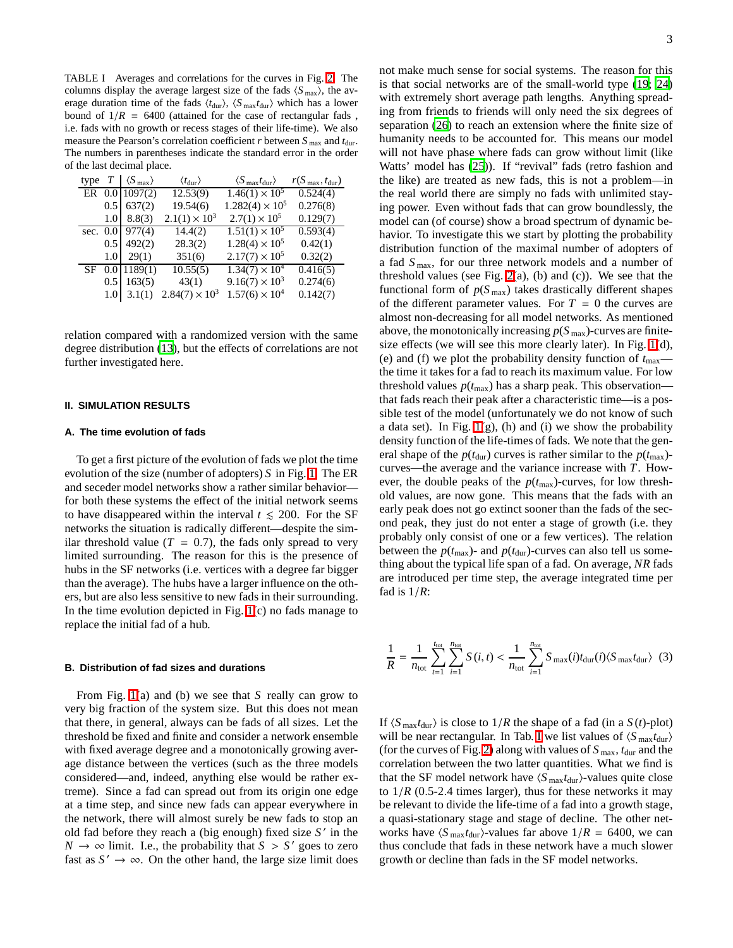<span id="page-2-0"></span>TABLE I Averages and correlations for the curves in Fig. [2.](#page-3-0) The columns display the average largest size of the fads  $\langle S_{\text{max}} \rangle$ , the average duration time of the fads  $\langle t_{\text{dur}} \rangle$ ,  $\langle S_{\text{max}} t_{\text{dur}} \rangle$  which has a lower bound of  $1/R = 6400$  (attained for the case of rectangular fads, i.e. fads with no growth or recess stages of their life-time). We also measure the Pearson's correlation coefficient *r* between  $S_{\text{max}}$  and  $t_{\text{dur}}$ . The numbers in parentheses indicate the standard error in the order of the last decimal place.

| type | $\, T \,$ | $\langle S_{\rm max} \rangle$ | $\langle t_{\rm dur} \rangle$ | $\langle S_{\text{max}} t_{\text{dur}} \rangle$ | $r(S_{\text{max}}, t_{\text{dur}})$ |
|------|-----------|-------------------------------|-------------------------------|-------------------------------------------------|-------------------------------------|
|      |           | ER 0.0 1097(2)                | 12.53(9)                      | $1.46(1) \times 10^5$                           | 0.524(4)                            |
|      | 0.5       | 637(2)                        | 19.54(6)                      | $1.282(4) \times 10^5$                          | 0.276(8)                            |
|      | 1.01      | 8.8(3)                        | $2.1(1) \times 10^3$          | $2.7(1) \times 10^5$                            | 0.129(7)                            |
|      |           | sec. $0.0$ 977(4)             | 14.4(2)                       | $1.51(1) \times 10^5$                           | 0.593(4)                            |
|      | 0.5       | 492(2)                        | 28.3(2)                       | $1.28(4) \times 10^5$                           | 0.42(1)                             |
|      | 1.01      | 29(1)                         | 351(6)                        | $2.17(7) \times 10^5$                           | 0.32(2)                             |
| SF   |           | $0.0$ 1189(1)                 | 10.55(5)                      | $1.34(7) \times 10^4$                           | $\overline{0.416(5)}$               |
|      | 0.5       | 163(5)                        | 43(1)                         | $9.16(7) \times 10^3$                           | 0.274(6)                            |
|      | 1.0       | 3.1(1)                        | $2.84(7) \times 10^3$         | $1.57(6) \times 10^4$                           | 0.142(7)                            |

relation compared with a randomized version with the same degree distribution [\(13\)](#page-6-8), but the effects of correlations are not further investigated here.

#### **II. SIMULATION RESULTS**

# **A. The time evolution of fads**

To get a first picture of the evolution of fads we plot the time evolution of the size (number of adopters) *S* in Fig. [1.](#page-3-1) The ER and seceder model networks show a rather similar behavior for both these systems the effect of the initial network seems to have disappeared within the interval  $t \leq 200$ . For the SF networks the situation is radically different—despite the similar threshold value  $(T = 0.7)$ , the fads only spread to very limited surrounding. The reason for this is the presence of hubs in the SF networks (i.e. vertices with a degree far bigger than the average). The hubs have a larger influence on the others, but are also less sensitive to new fads in their surrounding. In the time evolution depicted in Fig. [1\(](#page-3-1)c) no fads manage to replace the initial fad of a hub.

#### **B. Distribution of fad sizes and durations**

From Fig. [1\(](#page-3-1)a) and (b) we see that *S* really can grow to very big fraction of the system size. But this does not mean that there, in general, always can be fads of all sizes. Let the threshold be fixed and finite and consider a network ensemble with fixed average degree and a monotonically growing average distance between the vertices (such as the three models considered—and, indeed, anything else would be rather extreme). Since a fad can spread out from its origin one edge at a time step, and since new fads can appear everywhere in the network, there will almost surely be new fads to stop an old fad before they reach a (big enough) fixed size *S* ′ in the  $N \to \infty$  limit. I.e., the probability that  $S > S'$  goes to zero fast as  $S' \to \infty$ . On the other hand, the large size limit does

not make much sense for social systems. The reason for this is that social networks are of the small-world type [\(19;](#page-6-14) [24\)](#page-7-3) with extremely short average path lengths. Anything spreading from friends to friends will only need the six degrees of separation [\(26](#page-7-4)) to reach an extension where the finite size of humanity needs to be accounted for. This means our model will not have phase where fads can grow without limit (like Watts' model has [\(25\)](#page-7-1)). If "revival" fads (retro fashion and the like) are treated as new fads, this is not a problem—in the real world there are simply no fads with unlimited staying power. Even without fads that can grow boundlessly, the model can (of course) show a broad spectrum of dynamic behavior. To investigate this we start by plotting the probability distribution function of the maximal number of adopters of a fad *S* max, for our three network models and a number of threshold values (see Fig.  $2(a)$ , (b) and (c)). We see that the functional form of  $p(S_{\text{max}})$  takes drastically different shapes of the different parameter values. For  $T = 0$  the curves are almost non-decreasing for all model networks. As mentioned above, the monotonically increasing  $p(S_{\text{max}})$ -curves are finitesize effects (we will see this more clearly later). In Fig. [1\(](#page-3-1)d), (e) and (f) we plot the probability density function of  $t_{\text{max}}$  the time it takes for a fad to reach its maximum value. For low threshold values  $p(t_{\text{max}})$  has a sharp peak. This observation that fads reach their peak after a characteristic time—is a possible test of the model (unfortunately we do not know of such a data set). In Fig.  $1(g)$ , (h) and (i) we show the probability density function of the life-times of fads. We note that the general shape of the  $p(t_{\text{dur}})$  curves is rather similar to the  $p(t_{\text{max}})$ curves—the average and the variance increase with *T*. However, the double peaks of the  $p(t_{\text{max}})$ -curves, for low threshold values, are now gone. This means that the fads with an early peak does not go extinct sooner than the fads of the second peak, they just do not enter a stage of growth (i.e. they probably only consist of one or a few vertices). The relation between the  $p(t_{\text{max}})$ - and  $p(t_{\text{dur}})$ -curves can also tell us something about the typical life span of a fad. On average, *NR* fads are introduced per time step, the average integrated time per fad is 1/*R*:

$$
\frac{1}{R} = \frac{1}{n_{\text{tot}}} \sum_{t=1}^{t_{\text{tot}}} \sum_{i=1}^{n_{\text{tot}}} S(i, t) < \frac{1}{n_{\text{tot}}} \sum_{i=1}^{n_{\text{tot}}} S_{\text{max}}(i) t_{\text{dur}}(i) \langle S_{\text{max}} t_{\text{dur}} \rangle \tag{3}
$$

If  $\langle S_{\text{max}}t_{\text{dur}} \rangle$  is close to  $1/R$  the shape of a fad (in a  $S(t)$ -plot) will be near rectangular. [I](#page-2-0)n Tab. I we list values of  $\langle S_{\text{max}} t_{\text{dur}} \rangle$ (for the curves of Fig. [2\)](#page-3-0) along with values of  $S_{\text{max}}$ ,  $t_{\text{dur}}$  and the correlation between the two latter quantities. What we find is that the SF model network have  $\langle S_{\text{max}} t_{\text{dur}}\rangle$ -values quite close to  $1/R$  (0.5-2.4 times larger), thus for these networks it may be relevant to divide the life-time of a fad into a growth stage, a quasi-stationary stage and stage of decline. The other networks have  $\langle S_{\text{max}}t_{\text{dur}}\rangle$ -values far above  $1/R = 6400$ , we can thus conclude that fads in these network have a much slower growth or decline than fads in the SF model networks.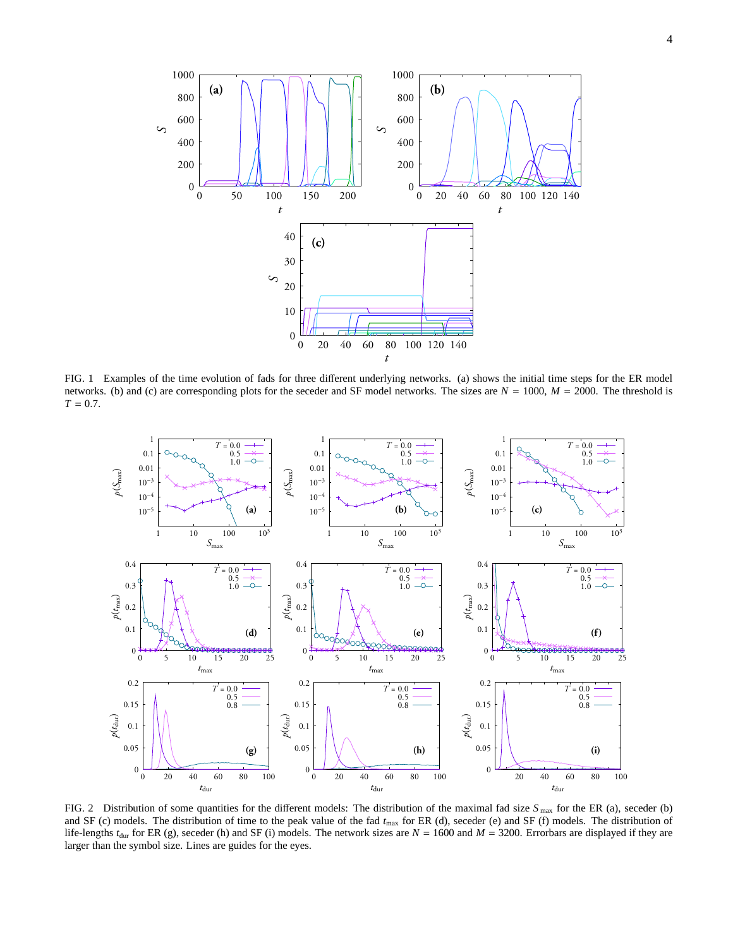

<span id="page-3-1"></span>FIG. 1 Examples of the time evolution of fads for three different underlying networks. (a) shows the initial time steps for the ER model networks. (b) and (c) are corresponding plots for the seceder and SF model networks. The sizes are *N* = 1000, *M* = 2000. The threshold is  $T = 0.7$ .



<span id="page-3-0"></span>FIG. 2 Distribution of some quantities for the different models: The distribution of the maximal fad size  $S_{\text{max}}$  for the ER (a), seceder (b) and SF (c) models. The distribution of time to the peak value of the fad *t*max for ER (d), seceder (e) and SF (f) models. The distribution of life-lengths  $t_{\text{dur}}$  for ER (g), seceder (h) and SF (i) models. The network sizes are  $N = 1600$  and  $M = 3200$ . Errorbars are displayed if they are larger than the symbol size. Lines are guides for the eyes.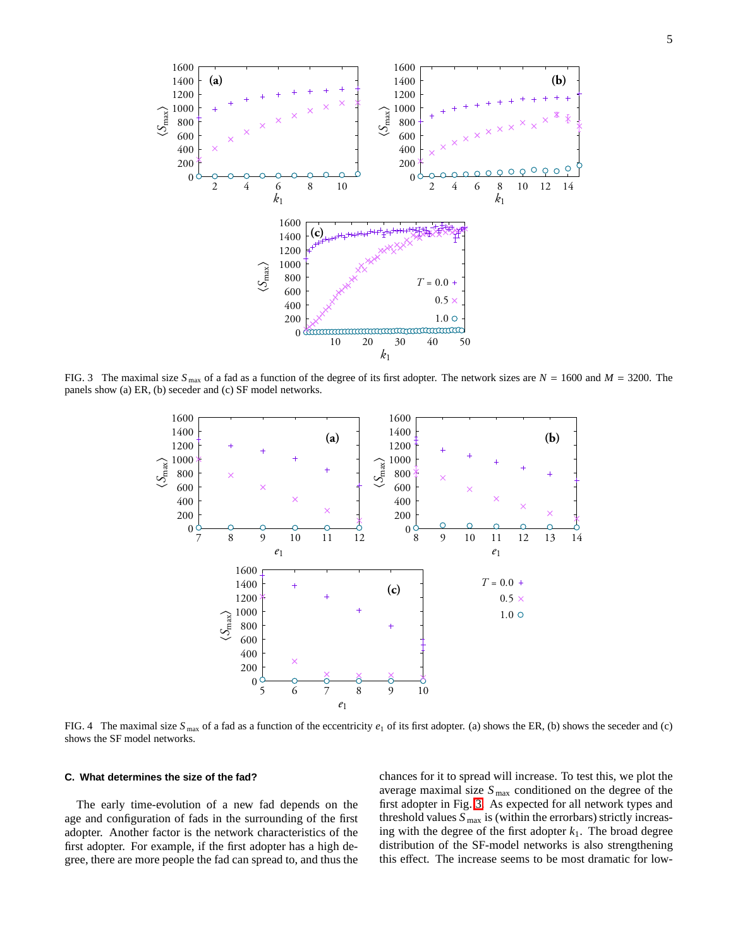

<span id="page-4-0"></span>FIG. 3 The maximal size  $S_{\text{max}}$  of a fad as a function of the degree of its first adopter. The network sizes are  $N = 1600$  and  $M = 3200$ . The panels show (a) ER, (b) seceder and (c) SF model networks.



<span id="page-4-1"></span>FIG. 4 The maximal size  $S_{\text{max}}$  of a fad as a function of the eccentricity  $e_1$  of its first adopter. (a) shows the ER, (b) shows the seceder and (c) shows the SF model networks.

## **C. What determines the size of the fad?**

The early time-evolution of a new fad depends on the age and configuration of fads in the surrounding of the first adopter. Another factor is the network characteristics of the first adopter. For example, if the first adopter has a high degree, there are more people the fad can spread to, and thus the chances for it to spread will increase. To test this, we plot the average maximal size *S* max conditioned on the degree of the first adopter in Fig. [3.](#page-4-0) As expected for all network types and threshold values  $S_{\text{max}}$  is (within the errorbars) strictly increasing with the degree of the first adopter  $k_1$ . The broad degree distribution of the SF-model networks is also strengthening this effect. The increase seems to be most dramatic for low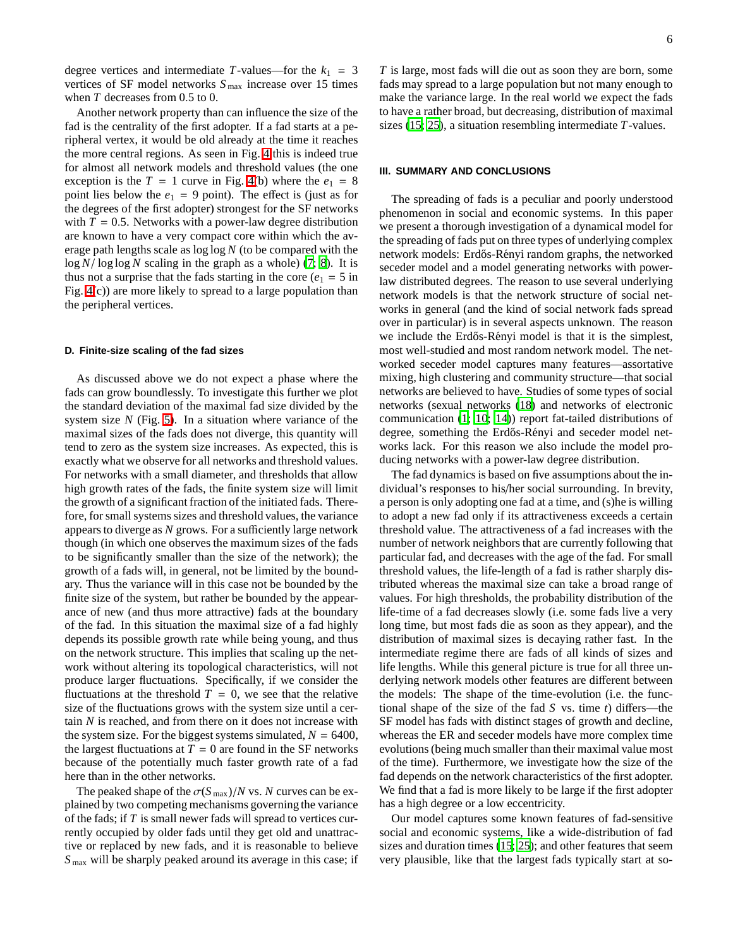degree vertices and intermediate *T*-values—for the  $k_1 = 3$ vertices of SF model networks  $S_{\text{max}}$  increase over 15 times when *T* decreases from 0.5 to 0.

Another network property than can influence the size of the fad is the centrality of the first adopter. If a fad starts at a peripheral vertex, it would be old already at the time it reaches the more central regions. As seen in Fig. [4](#page-4-1) this is indeed true for almost all network models and threshold values (the one exception is the  $T = 1$  curve in Fig. [4\(](#page-4-1)b) where the  $e_1 = 8$ point lies below the  $e_1 = 9$  point). The effect is (just as for the degrees of the first adopter) strongest for the SF networks with  $T = 0.5$ . Networks with a power-law degree distribution are known to have a very compact core within which the average path lengths scale as log log *N* (to be compared with the log *N*/ log log *N* scaling in the graph as a whole) [\(7;](#page-6-15) [8\)](#page-6-16). It is thus not a surprise that the fads starting in the core ( $e_1 = 5$  in Fig. [4\(](#page-4-1)c)) are more likely to spread to a large population than the peripheral vertices.

## **D. Finite-size scaling of the fad sizes**

As discussed above we do not expect a phase where the fads can grow boundlessly. To investigate this further we plot the standard deviation of the maximal fad size divided by the system size *N* (Fig. [5\)](#page-6-17). In a situation where variance of the maximal sizes of the fads does not diverge, this quantity will tend to zero as the system size increases. As expected, this is exactly what we observe for all networks and threshold values. For networks with a small diameter, and thresholds that allow high growth rates of the fads, the finite system size will limit the growth of a significant fraction of the initiated fads. Therefore, for small systems sizes and threshold values, the variance appears to diverge as *N* grows. For a sufficiently large network though (in which one observes the maximum sizes of the fads to be significantly smaller than the size of the network); the growth of a fads will, in general, not be limited by the boundary. Thus the variance will in this case not be bounded by the finite size of the system, but rather be bounded by the appearance of new (and thus more attractive) fads at the boundary of the fad. In this situation the maximal size of a fad highly depends its possible growth rate while being young, and thus on the network structure. This implies that scaling up the network without altering its topological characteristics, will not produce larger fluctuations. Specifically, if we consider the fluctuations at the threshold  $T = 0$ , we see that the relative size of the fluctuations grows with the system size until a certain *N* is reached, and from there on it does not increase with the system size. For the biggest systems simulated,  $N = 6400$ , the largest fluctuations at  $T = 0$  are found in the SF networks because of the potentially much faster growth rate of a fad here than in the other networks.

The peaked shape of the  $\sigma(S_{\text{max}})/N$  vs. *N* curves can be explained by two competing mechanisms governing the variance of the fads; if *T* is small newer fads will spread to vertices currently occupied by older fads until they get old and unattractive or replaced by new fads, and it is reasonable to believe *S* max will be sharply peaked around its average in this case; if

*T* is large, most fads will die out as soon they are born, some fads may spread to a large population but not many enough to make the variance large. In the real world we expect the fads to have a rather broad, but decreasing, distribution of maximal sizes [\(15](#page-6-2); [25](#page-7-1)), a situation resembling intermediate *T*-values.

# **III. SUMMARY AND CONCLUSIONS**

The spreading of fads is a peculiar and poorly understood phenomenon in social and economic systems. In this paper we present a thorough investigation of a dynamical model for the spreading of fads put on three types of underlying complex network models: Erdős-Rényi random graphs, the networked seceder model and a model generating networks with powerlaw distributed degrees. The reason to use several underlying network models is that the network structure of social networks in general (and the kind of social network fads spread over in particular) is in several aspects unknown. The reason we include the Erdős-Rényi model is that it is the simplest, most well-studied and most random network model. The networked seceder model captures many features—assortative mixing, high clustering and community structure—that social networks are believed to have. Studies of some types of social networks (sexual networks [\(18](#page-6-18)) and networks of electronic communication [\(1;](#page-6-19) [10;](#page-6-20) [14](#page-6-21))) report fat-tailed distributions of degree, something the Erdős-Rényi and seceder model networks lack. For this reason we also include the model producing networks with a power-law degree distribution.

The fad dynamics is based on five assumptions about the individual's responses to his/her social surrounding. In brevity, a person is only adopting one fad at a time, and (s)he is willing to adopt a new fad only if its attractiveness exceeds a certain threshold value. The attractiveness of a fad increases with the number of network neighbors that are currently following that particular fad, and decreases with the age of the fad. For small threshold values, the life-length of a fad is rather sharply distributed whereas the maximal size can take a broad range of values. For high thresholds, the probability distribution of the life-time of a fad decreases slowly (i.e. some fads live a very long time, but most fads die as soon as they appear), and the distribution of maximal sizes is decaying rather fast. In the intermediate regime there are fads of all kinds of sizes and life lengths. While this general picture is true for all three underlying network models other features are different between the models: The shape of the time-evolution (i.e. the functional shape of the size of the fad *S* vs. time *t*) differs—the SF model has fads with distinct stages of growth and decline, whereas the ER and seceder models have more complex time evolutions (being much smaller than their maximal value most of the time). Furthermore, we investigate how the size of the fad depends on the network characteristics of the first adopter. We find that a fad is more likely to be large if the first adopter has a high degree or a low eccentricity.

Our model captures some known features of fad-sensitive social and economic systems, like a wide-distribution of fad sizes and duration times [\(15;](#page-6-2) [25\)](#page-7-1); and other features that seem very plausible, like that the largest fads typically start at so-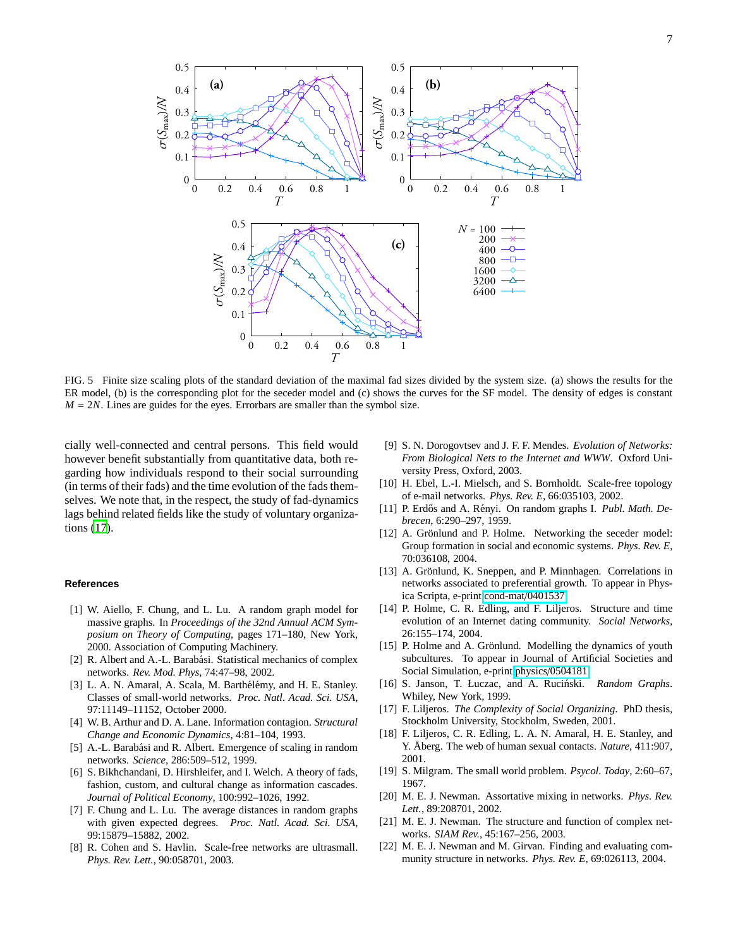0 0*.*1 0*.*2 0*.*3 0*.*4 0*.*5 0 0*.*2 0*.*4 0*.*6 0*.*8 1 0 0*.*1 0*.*2 0*.*3 0*.*4 0*.*5 0 0*.*2 0*.*4 0*.*6 0*.*8 1 0 0*.*1 0*.*2 0*.*3 0*.*4 0*.*5 0 0*.*2 0*.*4 0*.*6 0*.*8 1 *N =* 100 200 400 800 1600 3200 6400  $\frac{0.6}{T}$  $\frac{0.6}{T}$ σ(*S*max)*/N*  $\frac{0.6}{T}$ σ(*S*max)*/N* σ(*S*max)*/N* **(c)** (a)  $\qquad \qquad \qquad \qquad$  **(b)** 

<span id="page-6-17"></span>FIG. 5 Finite size scaling plots of the standard deviation of the maximal fad sizes divided by the system size. (a) shows the results for the ER model, (b) is the corresponding plot for the seceder model and (c) shows the curves for the SF model. The density of edges is constant  $M = 2N$ . Lines are guides for the eyes. Errorbars are smaller than the symbol size.

cially well-connected and central persons. This field would however benefit substantially from quantitative data, both regarding how individuals respond to their social surrounding (in terms of their fads) and the time evolution of the fads themselves. We note that, in the respect, the study of fad-dynamics lags behind related fields like the study of voluntary organizations [\(17](#page-6-22)).

#### <span id="page-6-19"></span>**References**

- [1] W. Aiello, F. Chung, and L. Lu. A random graph model for massive graphs. In *Proceedings of the 32nd Annual ACM Symposium on Theory of Computing*, pages 171–180, New York, 2000. Association of Computing Machinery.
- <span id="page-6-3"></span>[2] R. Albert and A.-L. Barabási. Statistical mechanics of complex networks. *Rev. Mod. Phys*, 74:47–98, 2002.
- <span id="page-6-12"></span>[3] L. A. N. Amaral, A. Scala, M. Barthélémy, and H. E. Stanley. Classes of small-world networks. *Proc. Natl. Acad. Sci. USA*, 97:11149–11152, October 2000.
- <span id="page-6-1"></span>[4] W. B. Arthur and D. A. Lane. Information contagion. *Structural Change and Economic Dynamics*, 4:81–104, 1993.
- <span id="page-6-13"></span>[5] A.-L. Barabási and R. Albert. Emergence of scaling in random networks. *Science*, 286:509–512, 1999.
- <span id="page-6-0"></span>[6] S. Bikhchandani, D. Hirshleifer, and I. Welch. A theory of fads, fashion, custom, and cultural change as information cascades. *Journal of Political Economy*, 100:992–1026, 1992.
- <span id="page-6-15"></span>[7] F. Chung and L. Lu. The average distances in random graphs with given expected degrees. *Proc. Natl. Acad. Sci. USA*, 99:15879–15882, 2002.
- <span id="page-6-16"></span>[8] R. Cohen and S. Havlin. Scale-free networks are ultrasmall. *Phys. Rev. Lett.*, 90:058701, 2003.
- <span id="page-6-4"></span>[9] S. N. Dorogovtsev and J. F. F. Mendes. *Evolution of Networks: From Biological Nets to the Internet and WWW*. Oxford University Press, Oxford, 2003.
- <span id="page-6-20"></span>[10] H. Ebel, L.-I. Mielsch, and S. Bornholdt. Scale-free topology of e-mail networks. *Phys. Rev. E*, 66:035103, 2002.
- <span id="page-6-7"></span>[11] P. Erdős and A. Rényi. On random graphs I. Publ. Math. De*brecen*, 6:290–297, 1959.
- <span id="page-6-6"></span>[12] A. Grönlund and P. Holme. Networking the seceder model: Group formation in social and economic systems. *Phys. Rev. E*, 70:036108, 2004.
- <span id="page-6-8"></span>[13] A. Grönlund, K. Sneppen, and P. Minnhagen. Correlations in networks associated to preferential growth. To appear in Physica Scripta, e-print [cond-mat](http://arxiv.org/abs/cond-mat/0401537)/0401537.
- <span id="page-6-21"></span>[14] P. Holme, C. R. Edling, and F. Liljeros. Structure and time evolution of an Internet dating community. *Social Networks*, 26:155–174, 2004.
- <span id="page-6-2"></span>[15] P. Holme and A. Grönlund. Modelling the dynamics of youth subcultures. To appear in Journal of Artificial Societies and Social Simulation, e-print physics/[0504181.](http://arxiv.org/abs/physics/0504181)
- <span id="page-6-10"></span>[16] S. Janson, T. Łuczac, and A. Ruciński. *Random Graphs*. Whiley, New York, 1999.
- <span id="page-6-22"></span>[17] F. Liljeros. *The Complexity of Social Organizing*. PhD thesis, Stockholm University, Stockholm, Sweden, 2001.
- <span id="page-6-18"></span>[18] F. Liljeros, C. R. Edling, L. A. N. Amaral, H. E. Stanley, and Y. Åberg. The web of human sexual contacts. *Nature*, 411:907, 2001.
- <span id="page-6-14"></span>[19] S. Milgram. The small world problem. *Psycol. Today*, 2:60–67, 1967.
- <span id="page-6-11"></span>[20] M. E. J. Newman. Assortative mixing in networks. *Phys. Rev. Lett.*, 89:208701, 2002.
- <span id="page-6-5"></span>[21] M. E. J. Newman. The structure and function of complex networks. *SIAM Rev.*, 45:167–256, 2003.
- <span id="page-6-9"></span>[22] M. E. J. Newman and M. Girvan. Finding and evaluating community structure in networks. *Phys. Rev. E*, 69:026113, 2004.